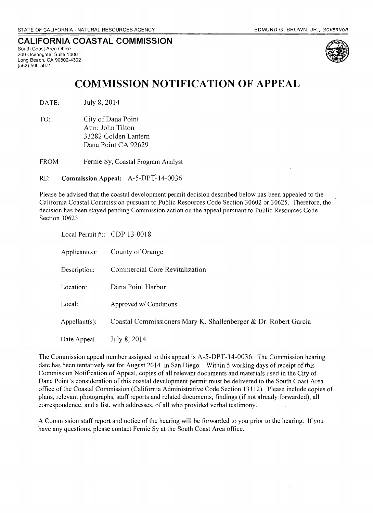# **CALIFORNIA COASTAL COMMISSION**

South Coast Area Office 200 Oceangate, Suite 1000 Long Beach, CA 90802-4302 (562) 590-5071



# **COMMISSION NOTIFICATION OF APPEAL**

DATE: July 8, 2014

TO: City of Dana Point Attn: John Tilton 33282 Golden Lantern Dana Point CA 92629

FROM Fernie Sy, Coastal Program Analyst

RE: **Commission Appeal:** A-5-DPT~ 14-0036

Please be advised that the coastal development permit decision described below has been appealed to the California Coastal Commission pursuant to Public Resources Code Section 30602 or 30625. Therefore, the decision has been stayed pending Commission action on the appeal pursuant to Public Resources Code Section 30623.

| Local Permit #:: $\text{CDP } 13\text{-}0018$ |                                                                 |
|-----------------------------------------------|-----------------------------------------------------------------|
| $Applicant(s)$ :                              | County of Orange                                                |
| Description:                                  | Commercial Core Revitalization                                  |
| Location:                                     | Dana Point Harbor                                               |
| Local:                                        | Approved w/ Conditions                                          |
| $Appellant(s)$ :                              | Coastal Commissioners Mary K. Shallenberger & Dr. Robert Garcia |
| Date Appeal                                   | July 8, 2014                                                    |

The Commission appeal number assigned to this appeal is A-5-DPT-14-0036, The Commission hearing date has been tentatively set for August 2014 in San Diego. Within 5 working days of receipt of this Commission Notification of Appeal, copies of all relevant documents and materials used in the City of Dana Point's consideration of this coastal development permit must be delivered to the South Coast Area office of the Coastal Commission (California Administrative Code Section 13112). Please include copies of plans, relevant photographs, staff reports and related documents, findings (if not already forwarded), all correspondence, and a list, with addresses, of all who provided verbal testimony.

A Commission staff report and notice ofthe hearing will be forwarded to you prior to the hearing. If you have any questions, please contact Fernie Sy at the South Coast Area office.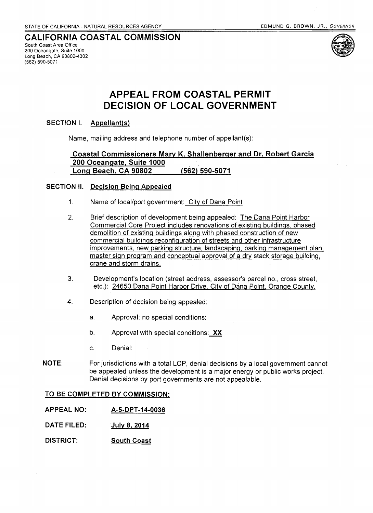# CALIFORNIA COASTAL COMMISSION

South Coast Area Office 200 Oceangate, Suite 1000 Long Beach, CA 90802-4302 (562) 590-5071



# APPEAL FROM COASTAL PERMIT DECISION OF LOCAL GOVERNMENT

## SECTION I. Appellant(s)

Name, mailing address and telephone number of appeliant(s):

# Coastal Commissioners Mary K. Shallenberger and Dr. Robert Garcia 200 Oceangate, Suite 1000 .' Long Beach, CA 90802 (562) 590-5071

## SECTION II. Decision Being Appealed

- 1. Name of local/port government: City of Dana Point
- 2. Brief description of development being appealed: The Dana Point Harbor Commercial Core Project includes renovations of existing buildings, phased demolition of existing buildings along with phased construction of new commercial buildings reconfiguration of streets and other infrastructure improvements, new parking structure, landscaping, parking management plan, master sign program and conceptual approval of a dry stack storage building, crane and storm drains.
- 3. Development's location (street address, assessor's parcel no., cross street, etc.): 24650 Dana Point Harbor Drive, City of Dana Point. Orange County.
- 4. Description of decision being appealed:
	- a. Approval; no special conditions:
	- b. Approval with special conditions:  $XX$
	- c. Denial:
- NOTE: For jurisdictions with a total LCP, denial decisions by a local government cannot be appealed unless the development is a major energy or public works project. Denial decisions by port governments are not appealable.

#### TO BE COMPLETED BY COMMISSION:

- APPEAL NO: A-5-DPT-14-0036
- DATE FILED: July 8, 2014
- DISTRICT: South Coast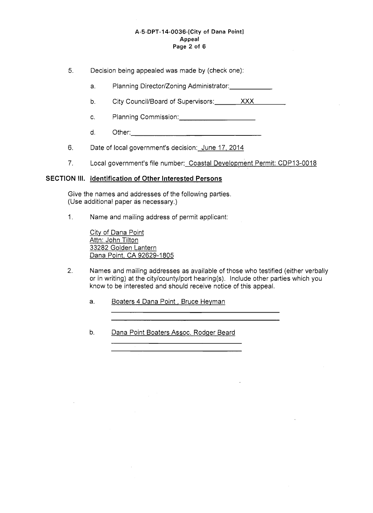#### A-5-DPT-14-0036-[City of Dana Point] Appeal Page 2 of 6

5. Decision being appealed was made by (check one):

- a. Planning Director/Zoning Administrator: Planning Director/Zoning Administrator:
- b. City Council/Board of Supervisors: XXX
- c. Planning Commission: \_\_\_\_\_\_\_\_\_\_\_\_\_\_\_\_\_\_\_\_\_\_\_
- d. Other:\_\_\_\_\_\_\_\_\_\_\_\_\_\_\_
- 6. Date of local government's decision: June 17, 2014
- 7. Local government's file number: Coastal Development Permit: CDP13-0018

#### SECTION **III.** Identification of Other Interested Persons

Give the names and addresses of the following parties. (Use additional paper as necessary.)

1. Name and mailing address of permit applicant:

City of Dana Point <u>Attn: John Tilton</u> 33282 Golden Lantern Dana Point. CA 92629-1805

2. Names and mailing addresses as available of those who testified (either verbally or in writing) at the city/county/port hearing(s). Include other parties which you know to be interested and should receive notice of this appeal.

a. Boaters 4 Dana Point, Bruce Heyman

b. Dana Point Boaters Assoc. Rodger Beard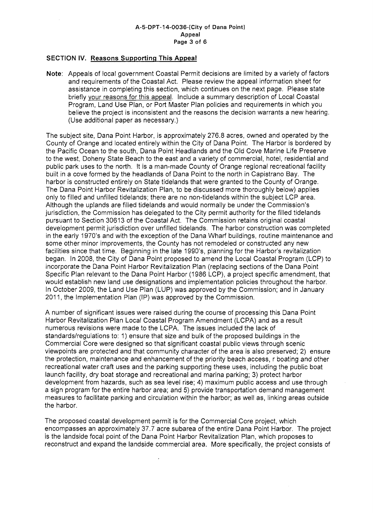#### A-5-DPT-14-0036-[City of Dana Point] Appeal Page 3 of 6

## SECTION IV. Reasons Supporting This Appeal

Note: Appeals of local government Coastal Permit decisions are limited by a variety of factors and requirements of the Coastal Act. Please review the appeal information sheet for assistance in completing this section, which continues on the next page. Please state briefly your reasons for this appeal. Include a summary description of Local Coastal Program, Land Use Plan, or Port Master Plan policies and requirements in which you believe the project is inconsistent and the reasons the decision warrants a new hearing. (Use additional paper as necessary.)

The subject site, Dana Point Harbor, is approximately 276.8 acres, owned and operated by the County of Orange and located entirely within the City of Dana Point. The Harbor is bordered by the Pacific Ocean to the south, Dana Point Headlands and the Old Cove Marine Life Preserve to the west, Doheny State Beach to the east and a variety of commercial, hotel, residential and public park uses to the north. It is a man-made County of Orange regional recreational facility built in a cove formed by the headlands of Dana Point to the north in Capistrano Bay. The harbor is constructed entirely on State tidelands that were granted to the County of Orange. The Dana Point Harbor Revitalization Plan, to be discussed more thoroughly below) applies only to filled and unfilled tidelands; there are no non-tidelands within the subject LCP area. Although the uplands are filled tidelands and would normally be under the Commission's jurisdiction, the Commission has delegated to the City permit authority for the filled tidelands pursuant to Section 30613 of the Coastal Act. The Commission retains original coastal development permit jurisdiction over unfilled tidelands. The harbor construction was completed in the early 1970's and with the exception of the Dana Wharf buildings, routine maintenance and some other minor improvements, the County has not remodeled or constructed any new facilities since that time. Beginning in the late 1990's, planning for the Harbor's revitalization began. In 2008, the City of Dana Point proposed to amend the Local Coastal Program (LCP) to incorporate the Dana Point Harbor Revitalization Plan (replacing sections of the Dana Point Specific Plan relevant to the Dana Point Harbor (1986 LCP), a project specific amendment, that would establish new land use designations and implementation policies throughout the harbor. In October 2009, the Land Use Plan (LUP) was approved by the Commission; and in January 2011, the Implementation Plan (IP) was approved by the Commission.

A number of significant issues were raised during the course of processing this Dana Point Harbor Revitalization Plan Local Coastal Program Amendment (LCPA) and as a result numerous revisions were made to the LCPA. The issues included the lack of standards/regulations to: 1) ensure that size and bulk of the proposed buildings in the Commercial Core were designed so that significant coastal public views through scenic viewpoints are protected and that community character of the area is also preserved; 2) ensure the protection, maintenance and enhancement of the priority beach access, r boating and other recreational water craft uses and the parking supporting these uses, including the public boat launch facility, dry boat storage and recreational and marina parking; 3) protect harbor development from hazards, such as sea level rise; 4) maximum public access and use through a sign program for the entire harbor area; and 5) provide transportation demand management measures to facilitate parking and circulation within the harbor; as well as, linking areas outside the harbor.

The proposed coastal development permit is for the Commercial Core project, which encompasses an approximately 37.7 acre subarea of the entire Dana Point Harbor. The project is the landside focal point of the Dana Point Harbor Revitalization Plan, which proposes to reconstruct and expand the landside commercial area. More specifically, the project consists of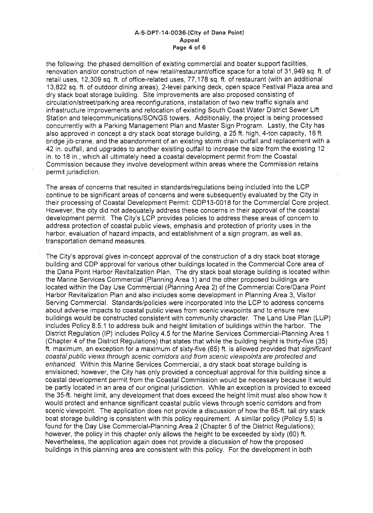#### A-5-DPT-14-0036-[City of Dana Point] Appeal Page 4 of 6

the following: the phased demolition of existing commercial and boater support facilities, renovation and/or construction of new retail/restaurant/office space for a total of 31,949 sq. ft. of retail uses, 12,309 sq. ft. of office-related uses, 77,178 sq. ft. of restaurant (with an additional 13,822 sq. ft. of outdoor dining areas), 2-level parking deck, open space Festival Plaza area and dry stack boat storage building. Site improvements are also proposed consisting of circulation/street/parking area reconfigurations, installation of two new traffic signals and infrastructure improvements and relocation of existing South Coast Water District Sewer Lift Station and telecommunications/SONGS towers. Additionally, the project is being processed concurrently with a Parking Management Plan and Master Sign Program. Lastly, the City has also approved in concept a dry stack boat storage building, a 25 ft. high, 4-ton capacity, 18 ft. bridge jib crane, and the abandonment of an existing storm drain outfall and replacement with a 42 in. outfall, and upgrades to another existing outfall to increase the size from the existing 12 in. to 18 in., which all ultimately need a coastal development permit from the Coastal Commission because they involve development within areas where the Commission retains permit jurisdiction.

The areas of concerns that resulted in standards/regulations being included into the LCP continue to be significant areas of concerns and were subsequently evaluated by the City in their processing of Coastal Development Permit: CDP13-0018 for the Commercial Core project. However, the city did not adequately address these concerns in their approval of the coastal development permit. The City's LCP provides policies to address these areas of concern to address protection of coastal public views, emphasis and protection of priority uses in the harbor, evaluation of hazard impacts, and establishment of a sign program, as well as, transportation demand measures.

The City's approval gives in-concept approval of the construction of a dry stack boat storage building and CDP approval for various other buildings located in the Commercial Core area of the Dana Point Harbor Revitalization Plan. The dry stack boat storage building is located within the Marine Services Commercial (Planning Area 1) and the other proposed buildings are located within the Day Use Commercial (Planning Area 2) of the Commercial Core/Dana Point Harbor Revitalization Plan and also includes some development in Planning Area 3, Visitor Serving Commercial. Standards/policies were incorporated into the LCP to address concerns about adverse impacts to coastal public views from scenic viewpoints and to ensure new buildings would be constructed consistent with community character. The Land Use Plan (LUP) includes Policy 8.5.1 to address bulk and height limitation of buildings within the harbor. The District Regulation (IP) includes Policy 4.5 for the Marine Services Commercial-Planning Area 1 (Chapter 4 of the District Regulations) that states that while the building height is thirty-five (35) ft. maximum, an exception for a maximum of sixty-five (65) ft. is allowed provided that significant coastal public views through scenic corridors and from scenic viewpoints are protected and enhanced. Within this Marine Services Commercial, a dry stack boat storage building is envisioned; however, the City has only provided a conceptual approval for this building since a coastal development permit from the Coastal Commission would be necessary because it would be partly located in an area of our original jurisdiction. While an exception is provided to exceed the 35-ft. height limit, any development that does exceed the height limit must also show how it would protect and enhance significant coastal public views through scenic corridors and from scenic viewpoint. The application does not provide a discussion of how the 65-ft. tall dry stack boat storage building is consistent with this policy requirement. A similar policy (Policy 5.5) is found for the Day Use Commercial-Planning Area 2 (Chapter 5 of the District Regulations); however, the policy in this chapter only allows the height to be exceeded by sixty (60) ft. Nevertheless, the application again does not provide a discussion of how the proposed buildings in this planning area are consistent with this policy. For the development in both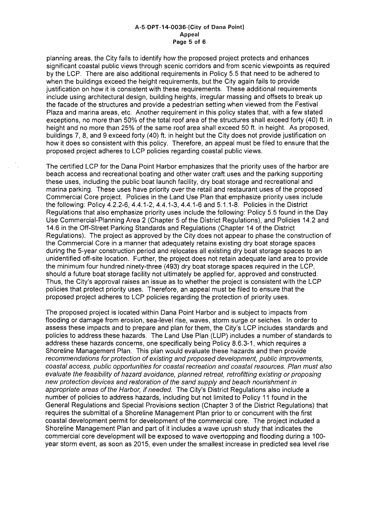#### A-5-DPT-14-0036-[City of Dana Point] Appeal Page 5 of 6

planning areas, the City fails to identify how the proposed project protects and enhances significant coastal public views through scenic corridors and from scenic viewpoints as required by the LCP. There are also additional requirements in Policy 5.5 that need to be adhered to when the buildings exceed the height requirements, but the City again fails to provide justification on how it is consistent with these requirements. These additional requirements include using architectural design, building heights, irregular massing and offsets to break up the facade of the structures and provide a pedestrian setting when viewed from the Festival Plaza and marina areas, etc. Another requirement in this policy states that, with a few stated exceptions, no more than 50% of the total roof area of the structures shall exceed forty (40) ft. in height and no more than 25% of the same roof area shall exceed 50 ft. in height. As proposed, buildings 7, 8, and 9 exceed forty (40) ft. in height but the City does not provide justification on how it does so consistent with this policy. Therefore, an appeal must be filed to ensure that the proposed project adheres to LCP policies regarding coastal public views.

The certified LCP for the Dana Point Harbor emphasizes that the priority uses of the harbor are beach access and recreational boating and other water craft uses and the parking supporting these uses, including the public boat launch facility, dry boat storage and recreational and marina parking. These uses have priority over the retail and restaurant uses of the proposed Commercial Core project. Policies in the Land Use Plan that emphasize priority uses include the following: Policy 4.2.2-6,4.4.1-2,4.4.1-3,4.4.1-6 and 5.1.1-8. Policies in the District Regulations that also emphasize priority uses include the following: Policy 5.5 found in the Day Use Commercial-Planning Area 2 (Chapter 5 of the District Regulations), and Policies 14.2 and 14.6 in the Off-Street Parking Standards and Regulations (Chapter 14 of the District Regulations). The project as approved by the City does not appear to phase the construction of the Commercial Core in a manner that adequately retains existing dry boat storage spaces during the 5-year construction period and relocates all existing dry boat storage spaces to an unidentified off-site location. Further, the project does not retain adequate land area to provide the minimum four hundred ninety-three (493) dry boat storage spaces required in the LCP, should a future boat storage facility not ultimately be applied for, approved and constructed. Thus, the City's approval raises an issue as to whether the project is consistent with the LCP policies that protect priority uses. Therefore, an appeal must be filed to ensure that the proposed project adheres to LCP policies regarding the protection of priority uses.

The proposed project is located within Dana Point Harbor and is subject to impacts from flooding or damage from erosion, sea-level rise, waves, storm surge or seiches. In order to assess these impacts and to prepare and plan for them, the City's LCP includes standards and policies to address these hazards. The Land Use Plan (LUP) includes a number of standards to address these hazards concerns, one specifically being Policy 8.6.3-1, which requires a Shoreline Management Plan. This plan would evaluate these hazards and then provide recommendations for protection of existing and proposed development, public improvements, coastal access, public opportunities for coastal recreation and coastal resources. Plan must also evaluate the feasibility of hazard avoidance, planned retreat, retrofitting existing or proposing new protection devices and restoration of the sand supply and beach nourishment in appropriate areas of the Harbor, if needed. The City's District Regulations also include a number of policies to address hazards, including but not limited to Policy 11 found in the General Regulations and Special Provisions section (Chapter 3 of the District Regulations) that requires the submittal of a Shoreline Management Plan prior to or concurrent with the first coastal development permit for development of the commercial core. The project included a Shoreline Management Plan and part of it includes a wave uprush study that indicates the commercial core development will be exposed to wave overtopping and flooding during a 100 year storm event, as soon as 2015, even under the smallest increase in predicted sea level rise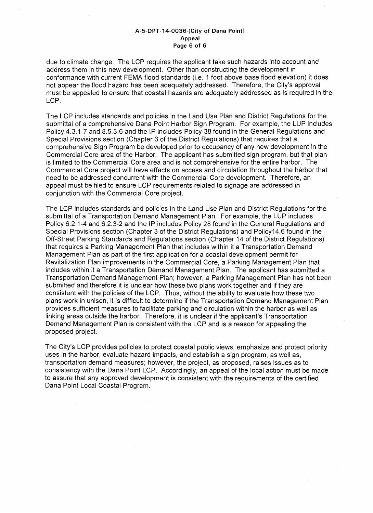#### A-5-DPT-14-0036-[City of Dana Point] Appeal Page 6 of 6

due to climate change. The LCP requires the applicant take such hazards into account and address them in this new development. Other than constructing the development in conformance with current FEMA flood standards (i.e. 1 foot above base flood elevation) it does not appear the flood hazard has been adequately addressed. Therefore, the City's approval must be appealed to ensure that coastal hazards are adequately addressed as is required in the LCP.

The LCP includes standards and policies in the Land Use Plan and District Regulations for the submittal of a comprehensive Dana Point Harbor Sign Program. For example, the LUP includes Policy 4.3.1-7 and 8.5.3-6 and the IP includes Policy 38 found in the General Regulations and Special Provisions section (Chapter 3 of the District Regulations) that requires that a comprehensive Sign Program be developed prior to occupancy of any new development in the Commercial Core area of the Harbor. The applicant has submitted sign program, but that plan is limited to the Commercial Core area and is not comprehensive for the entire harbor. The Commercial Core project will have effects on access and circulation throughout the harbor that need to be addressed concurrent with the Commercial Core development. Therefore, an appeal must be filed to ensure LCP requirements related to signage are addressed in conjunction with the Commercial Core project.

The LCP includes standards and policies in the Land Use Plan and District Regulations for the submittal of a Transportation Demand Management Plan. For example, the LUP includes Policy 6.2.1-4 and 6.2.3-2 and the IP includes Policy 28 found in the General Regulations and Special Provisions section (Chapter 3 of the District Regulations) and Policy14.6 found in the Off-Street Parking Standards and Regulations section (Chapter 14 of the District Regulations) that requires a Parking Management Plan that includes within it a Transportation Demand Management Plan as part of the first application for a coastal development permit for Revitalization Plan improvements in the Commercial Core, a Parking Management Plan that includes within it a Transportation Demand Management Plan. The applicant has submitted a Transportation Demand Management Plan; however, a Parking Management Plan has not been submitted and therefore it is unclear how these two plans work together and if they are consistent with the policies of the LCP. Thus, without the ability to evaluate how these two plans work in unison, it is difficult to determine if the Transportation Demand Management Plan provides sufficient measures to facilitate parking and circulation within the harbor as well as linking areas outside the harbor. Therefore, it is unclear if the applicant's Transportation Demand Management Plan is consistent with the LCP and is a reason for appealing the proposed project.

The City's LCP provides policies to protect coastal public views, emphasize and protect priority uses in the harbor, evaluate hazard impacts, and establish a sign program, as well as, transportation demand measures; however, the project, as proposed, raises issues as to consistency with the Dana Point LCP. Accordingly, an appeal of the local action must be made to assure that any approved development is consistent with the requirements of the certified Dana Point Local Coastal Program.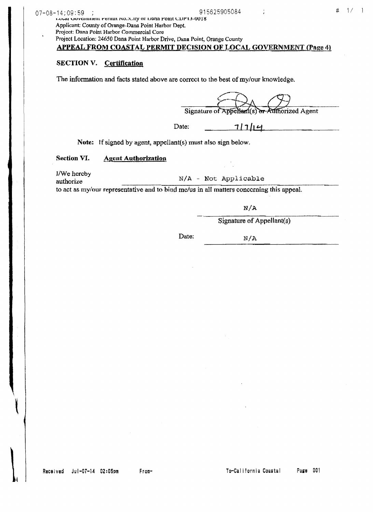I.V. The Lovernment remnt ivo.: Lity or Dana Point CDP13-0018 Applicant: County of Orange-Dana Point Harbor Dept. Project: Dana Point Harbor Commercial Core Project Location: 24650 Dana Point Harbor Drive, Dana Point, Orange County

# APPEAL FROM COASTAL PERMIT DECISION OF LOCAL GOVERNMENT (Page 4)

# SECTION V. Certification

The information and facts stated above are correct to the best of my/our knowledge.

Signature of Appellant(s) or Authorized Agent

Date:

 $71714$ 

Note: If signed by agent, appellant(s) must also sign below.

## Section VI. Agent Authorization

I/We hereby<br>authorize  $N/A - Not$  Applicable to act as my/our representative and to bind me/us in all matters concerning this appeal.

N/A

 $Signature of Appendix(s)$ 

Date: N/A